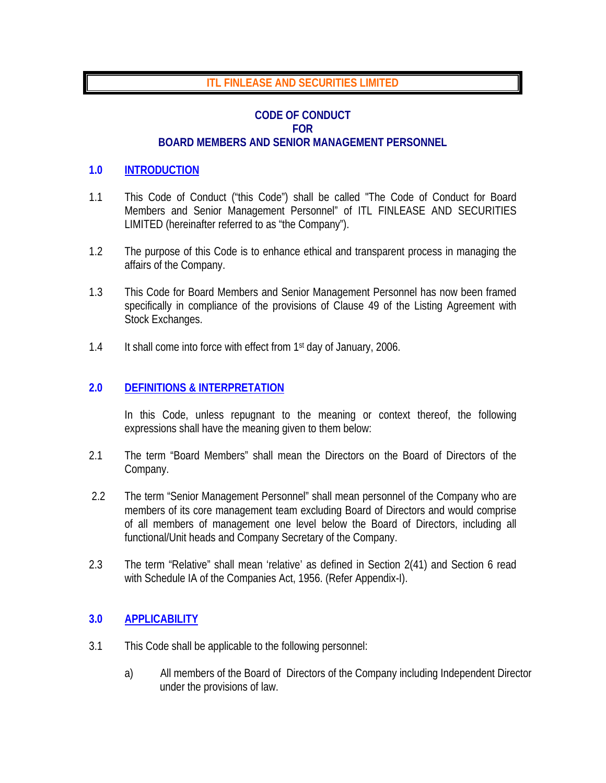## **ITL FINLEASE AND SECURITIES LIMITED**

## **CODE OF CONDUCT FOR BOARD MEMBERS AND SENIOR MANAGEMENT PERSONNEL**

#### **1.0 INTRODUCTION**

- 1.1 This Code of Conduct ("this Code") shall be called "The Code of Conduct for Board Members and Senior Management Personnel" of ITL FINLEASE AND SECURITIES LIMITED (hereinafter referred to as "the Company").
- 1.2 The purpose of this Code is to enhance ethical and transparent process in managing the affairs of the Company.
- 1.3 This Code for Board Members and Senior Management Personnel has now been framed specifically in compliance of the provisions of Clause 49 of the Listing Agreement with Stock Exchanges.
- 1.4 It shall come into force with effect from 1<sup>st</sup> day of January, 2006.

## **2.0 DEFINITIONS & INTERPRETATION**

In this Code, unless repugnant to the meaning or context thereof, the following expressions shall have the meaning given to them below:

- 2.1 The term "Board Members" shall mean the Directors on the Board of Directors of the Company.
- 2.2 The term "Senior Management Personnel" shall mean personnel of the Company who are members of its core management team excluding Board of Directors and would comprise of all members of management one level below the Board of Directors, including all functional/Unit heads and Company Secretary of the Company.
- 2.3 The term "Relative" shall mean 'relative' as defined in Section 2(41) and Section 6 read with Schedule IA of the Companies Act, 1956. (Refer Appendix-I).

## **3.0 APPLICABILITY**

- 3.1 This Code shall be applicable to the following personnel:
	- a) All members of the Board of Directors of the Company including Independent Director under the provisions of law.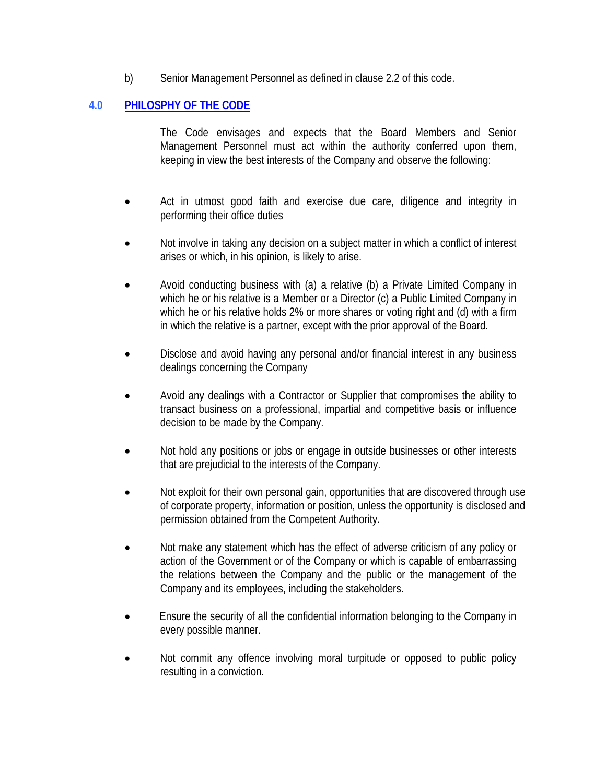b) Senior Management Personnel as defined in clause 2.2 of this code.

## **4.0 PHILOSPHY OF THE CODE**

The Code envisages and expects that the Board Members and Senior Management Personnel must act within the authority conferred upon them, keeping in view the best interests of the Company and observe the following:

- Act in utmost good faith and exercise due care, diligence and integrity in performing their office duties
- Not involve in taking any decision on a subject matter in which a conflict of interest arises or which, in his opinion, is likely to arise.
- Avoid conducting business with (a) a relative (b) a Private Limited Company in which he or his relative is a Member or a Director (c) a Public Limited Company in which he or his relative holds 2% or more shares or voting right and (d) with a firm in which the relative is a partner, except with the prior approval of the Board.
- Disclose and avoid having any personal and/or financial interest in any business dealings concerning the Company
- Avoid any dealings with a Contractor or Supplier that compromises the ability to transact business on a professional, impartial and competitive basis or influence decision to be made by the Company.
- Not hold any positions or jobs or engage in outside businesses or other interests that are prejudicial to the interests of the Company.
- Not exploit for their own personal gain, opportunities that are discovered through use of corporate property, information or position, unless the opportunity is disclosed and permission obtained from the Competent Authority.
- Not make any statement which has the effect of adverse criticism of any policy or action of the Government or of the Company or which is capable of embarrassing the relations between the Company and the public or the management of the Company and its employees, including the stakeholders.
- Ensure the security of all the confidential information belonging to the Company in every possible manner.
- Not commit any offence involving moral turpitude or opposed to public policy resulting in a conviction.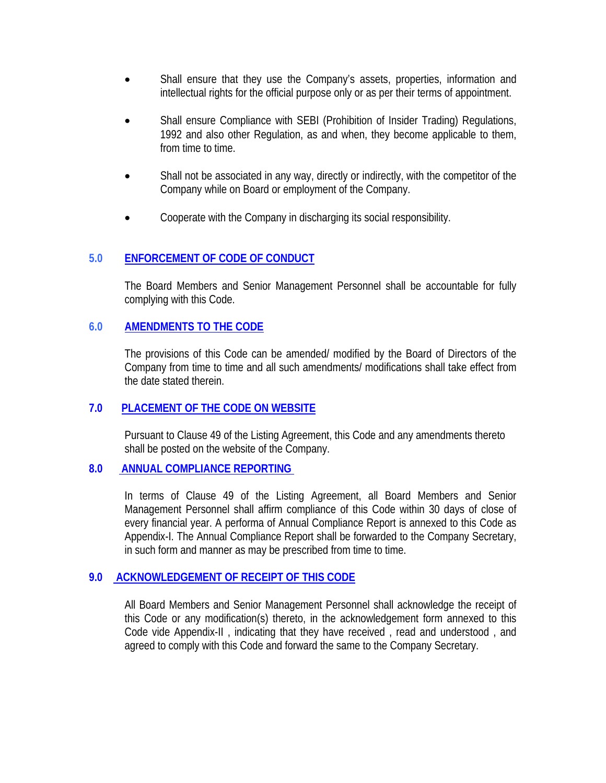- Shall ensure that they use the Company's assets, properties, information and intellectual rights for the official purpose only or as per their terms of appointment.
- Shall ensure Compliance with SEBI (Prohibition of Insider Trading) Regulations, 1992 and also other Regulation, as and when, they become applicable to them, from time to time.
- Shall not be associated in any way, directly or indirectly, with the competitor of the Company while on Board or employment of the Company.
- Cooperate with the Company in discharging its social responsibility.

#### **5.0 ENFORCEMENT OF CODE OF CONDUCT**

The Board Members and Senior Management Personnel shall be accountable for fully complying with this Code.

### **6.0 AMENDMENTS TO THE CODE**

The provisions of this Code can be amended/ modified by the Board of Directors of the Company from time to time and all such amendments/ modifications shall take effect from the date stated therein.

#### **7.0 PLACEMENT OF THE CODE ON WEBSITE**

Pursuant to Clause 49 of the Listing Agreement, this Code and any amendments thereto shall be posted on the website of the Company.

#### **8.0 ANNUAL COMPLIANCE REPORTING**

In terms of Clause 49 of the Listing Agreement, all Board Members and Senior Management Personnel shall affirm compliance of this Code within 30 days of close of every financial year. A performa of Annual Compliance Report is annexed to this Code as Appendix-I. The Annual Compliance Report shall be forwarded to the Company Secretary, in such form and manner as may be prescribed from time to time.

## **9.0 ACKNOWLEDGEMENT OF RECEIPT OF THIS CODE**

All Board Members and Senior Management Personnel shall acknowledge the receipt of this Code or any modification(s) thereto, in the acknowledgement form annexed to this Code vide Appendix-II , indicating that they have received , read and understood , and agreed to comply with this Code and forward the same to the Company Secretary.